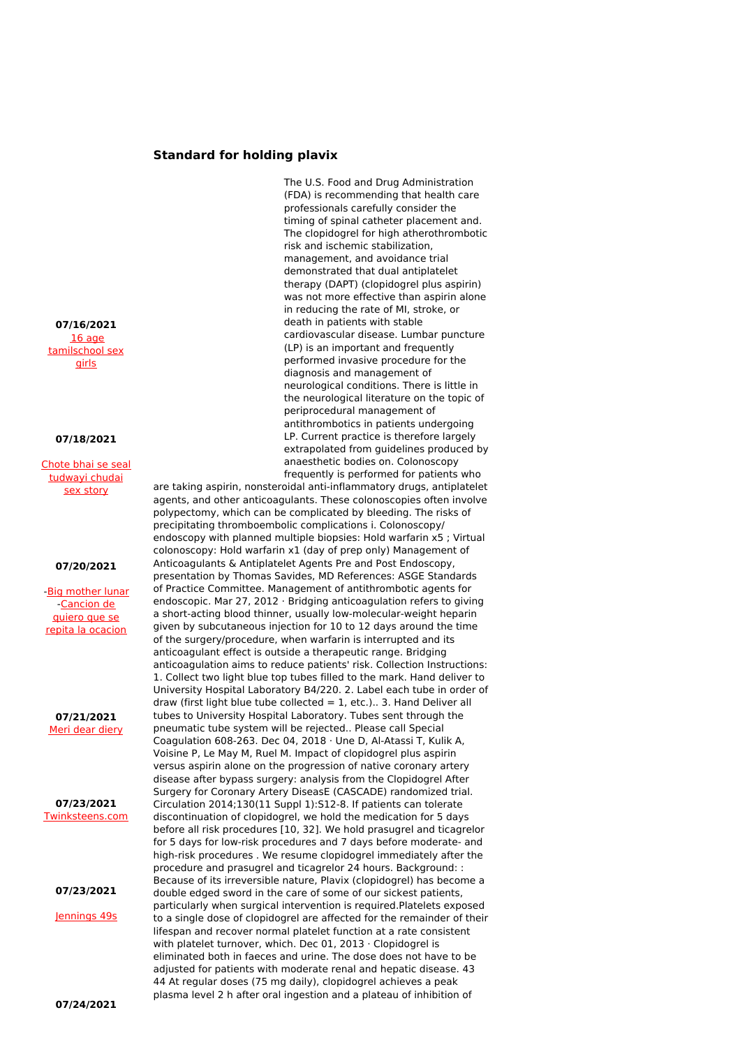## **Standard for holding plavix**

The U.S. Food and Drug Administration (FDA) is recommending that health care professionals carefully consider the timing of spinal catheter placement and. The clopidogrel for high atherothrombotic risk and ischemic stabilization, management, and avoidance trial demonstrated that dual antiplatelet therapy (DAPT) (clopidogrel plus aspirin) was not more effective than aspirin alone in reducing the rate of MI, stroke, or death in patients with stable cardiovascular disease. Lumbar puncture (LP) is an important and frequently performed invasive procedure for the diagnosis and management of neurological conditions. There is little in the neurological literature on the topic of periprocedural management of antithrombotics in patients undergoing LP. Current practice is therefore largely extrapolated from guidelines produced by anaesthetic bodies on. Colonoscopy frequently is performed for patients who

are taking aspirin, nonsteroidal anti-inflammatory drugs, antiplatelet agents, and other anticoagulants. These colonoscopies often involve polypectomy, which can be complicated by bleeding. The risks of precipitating thromboembolic complications i. Colonoscopy/ endoscopy with planned multiple biopsies: Hold warfarin x5 ; Virtual colonoscopy: Hold warfarin x1 (day of prep only) Management of Anticoagulants & Antiplatelet Agents Pre and Post Endoscopy, presentation by Thomas Savides, MD References: ASGE Standards of Practice Committee. Management of antithrombotic agents for endoscopic. Mar 27, 2012 · Bridging anticoagulation refers to giving a short-acting blood thinner, usually low-molecular-weight heparin given by subcutaneous injection for 10 to 12 days around the time of the surgery/procedure, when warfarin is interrupted and its anticoagulant effect is outside a therapeutic range. Bridging anticoagulation aims to reduce patients' risk. Collection Instructions: 1. Collect two light blue top tubes filled to the mark. Hand deliver to University Hospital Laboratory B4/220. 2. Label each tube in order of draw (first light blue tube collected = 1, etc.).. 3. Hand Deliver all tubes to University Hospital Laboratory. Tubes sent through the pneumatic tube system will be rejected.. Please call Special Coagulation 608-263. Dec 04, 2018 · Une D, Al-Atassi T, Kulik A, Voisine P, Le May M, Ruel M. Impact of clopidogrel plus aspirin versus aspirin alone on the progression of native coronary artery disease after bypass surgery: analysis from the Clopidogrel After Surgery for Coronary Artery DiseasE (CASCADE) randomized trial. Circulation 2014;130(11 Suppl 1):S12-8. If patients can tolerate discontinuation of clopidogrel, we hold the medication for 5 days before all risk procedures [10, 32]. We hold prasugrel and ticagrelor for 5 days for low-risk procedures and 7 days before moderate- and high-risk procedures . We resume clopidogrel immediately after the procedure and prasugrel and ticagrelor 24 hours. Background: : Because of its irreversible nature, Plavix (clopidogrel) has become a double edged sword in the care of some of our sickest patients, particularly when surgical intervention is required.Platelets exposed to a single dose of clopidogrel are affected for the remainder of their lifespan and recover normal platelet function at a rate consistent with platelet turnover, which. Dec 01, 2013 · Clopidogrel is eliminated both in faeces and urine. The dose does not have to be adjusted for patients with moderate renal and hepatic disease. 43 44 At regular doses (75 mg daily), clopidogrel achieves a peak plasma level 2 h after oral ingestion and a plateau of inhibition of

**07/16/2021** 16 age [tamilschool](https://deathcamptour.pl/0q) sex girls

#### **07/18/2021**

#### Chote bhai se seal [tudwayi](https://szansaweb.pl/b2o) chudai sex story

# **07/20/2021**

-Big [mother](https://szansaweb.pl/OtT) lunar [-Cancion](https://deathcamptour.pl/6i) de quiero que se repita la ocacion

**07/21/2021** Meri dear [diery](https://deathcamptour.pl/oV)

**07/23/2021** [Twinksteens.com](https://szansaweb.pl/RzQ)

**07/23/2021**

[Jennings](https://szansaweb.pl/ynL) 49s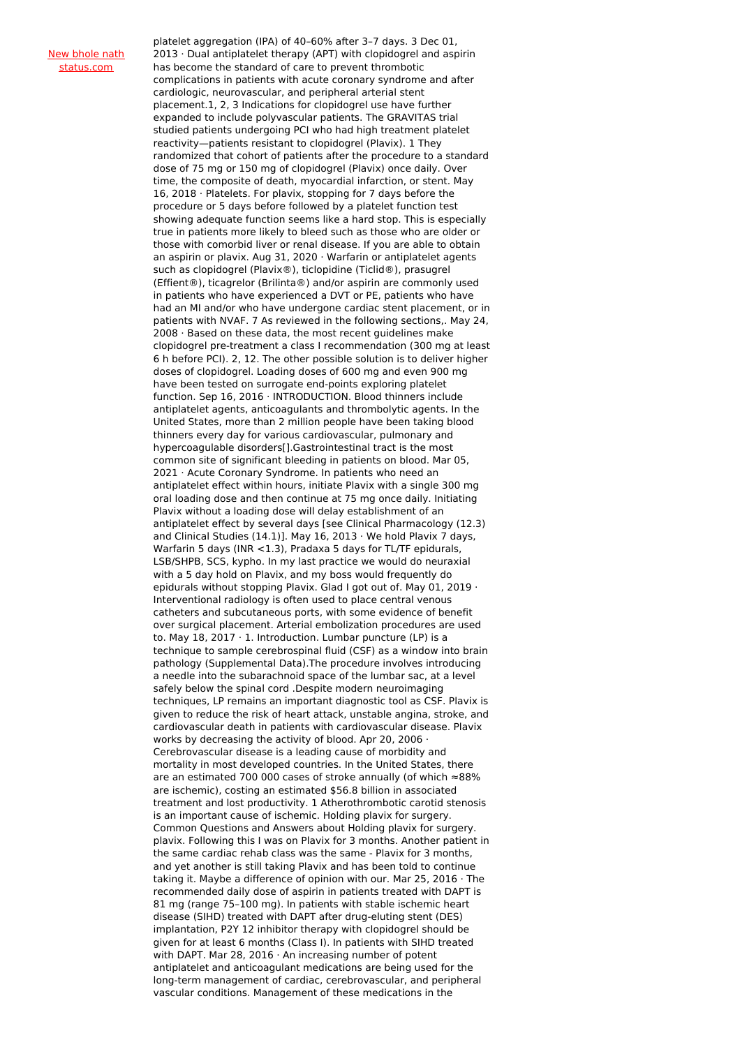New bhole nath [status.com](https://deathcamptour.pl/4PR)

platelet aggregation (IPA) of 40–60% after 3–7 days. 3 Dec 01, 2013 · Dual antiplatelet therapy (APT) with clopidogrel and aspirin has become the standard of care to prevent thrombotic complications in patients with acute coronary syndrome and after cardiologic, neurovascular, and peripheral arterial stent placement.1, 2, 3 Indications for clopidogrel use have further expanded to include polyvascular patients. The GRAVITAS trial studied patients undergoing PCI who had high treatment platelet reactivity—patients resistant to clopidogrel (Plavix). 1 They randomized that cohort of patients after the procedure to a standard dose of 75 mg or 150 mg of clopidogrel (Plavix) once daily. Over time, the composite of death, myocardial infarction, or stent. May 16, 2018 · Platelets. For plavix, stopping for 7 days before the procedure or 5 days before followed by a platelet function test showing adequate function seems like a hard stop. This is especially true in patients more likely to bleed such as those who are older or those with comorbid liver or renal disease. If you are able to obtain an aspirin or plavix. Aug 31, 2020 · Warfarin or antiplatelet agents such as clopidogrel (Plavix®), ticlopidine (Ticlid®), prasugrel (Effient®), ticagrelor (Brilinta®) and/or aspirin are commonly used in patients who have experienced a DVT or PE, patients who have had an MI and/or who have undergone cardiac stent placement, or in patients with NVAF. 7 As reviewed in the following sections,. May 24,  $2008 \cdot$  Based on these data, the most recent guidelines make clopidogrel pre-treatment a class I recommendation (300 mg at least 6 h before PCI). 2, 12. The other possible solution is to deliver higher doses of clopidogrel. Loading doses of 600 mg and even 900 mg have been tested on surrogate end-points exploring platelet function. Sep 16, 2016 · INTRODUCTION. Blood thinners include antiplatelet agents, anticoagulants and thrombolytic agents. In the United States, more than 2 million people have been taking blood thinners every day for various cardiovascular, pulmonary and hypercoagulable disorders[].Gastrointestinal tract is the most common site of significant bleeding in patients on blood. Mar 05, 2021 · Acute Coronary Syndrome. In patients who need an antiplatelet effect within hours, initiate Plavix with a single 300 mg oral loading dose and then continue at 75 mg once daily. Initiating Plavix without a loading dose will delay establishment of an antiplatelet effect by several days [see Clinical Pharmacology (12.3) and Clinical Studies (14.1)]. May 16, 2013  $\cdot$  We hold Plavix 7 days, Warfarin 5 days (INR <1.3), Pradaxa 5 days for TL/TF epidurals, LSB/SHPB, SCS, kypho. In my last practice we would do neuraxial with a 5 day hold on Plavix, and my boss would frequently do epidurals without stopping Plavix. Glad I got out of. May 01, 2019 · Interventional radiology is often used to place central venous catheters and subcutaneous ports, with some evidence of benefit over surgical placement. Arterial embolization procedures are used to. May 18, 2017  $\cdot$  1. Introduction. Lumbar puncture (LP) is a technique to sample cerebrospinal fluid (CSF) as a window into brain pathology (Supplemental Data).The procedure involves introducing a needle into the subarachnoid space of the lumbar sac, at a level safely below the spinal cord .Despite modern neuroimaging techniques, LP remains an important diagnostic tool as CSF. Plavix is given to reduce the risk of heart attack, unstable angina, stroke, and cardiovascular death in patients with cardiovascular disease. Plavix works by decreasing the activity of blood. Apr 20, 2006 · Cerebrovascular disease is a leading cause of morbidity and mortality in most developed countries. In the United States, there are an estimated 700 000 cases of stroke annually (of which ≈88% are ischemic), costing an estimated \$56.8 billion in associated treatment and lost productivity. 1 Atherothrombotic carotid stenosis is an important cause of ischemic. Holding plavix for surgery. Common Questions and Answers about Holding plavix for surgery. plavix. Following this I was on Plavix for 3 months. Another patient in the same cardiac rehab class was the same - Plavix for 3 months, and yet another is still taking Plavix and has been told to continue taking it. Maybe a difference of opinion with our. Mar 25, 2016  $\cdot$  The recommended daily dose of aspirin in patients treated with DAPT is 81 mg (range 75–100 mg). In patients with stable ischemic heart disease (SIHD) treated with DAPT after drug-eluting stent (DES) implantation, P2Y 12 inhibitor therapy with clopidogrel should be given for at least 6 months (Class I). In patients with SIHD treated with DAPT. Mar 28, 2016 · An increasing number of potent antiplatelet and anticoagulant medications are being used for the long-term management of cardiac, cerebrovascular, and peripheral vascular conditions. Management of these medications in the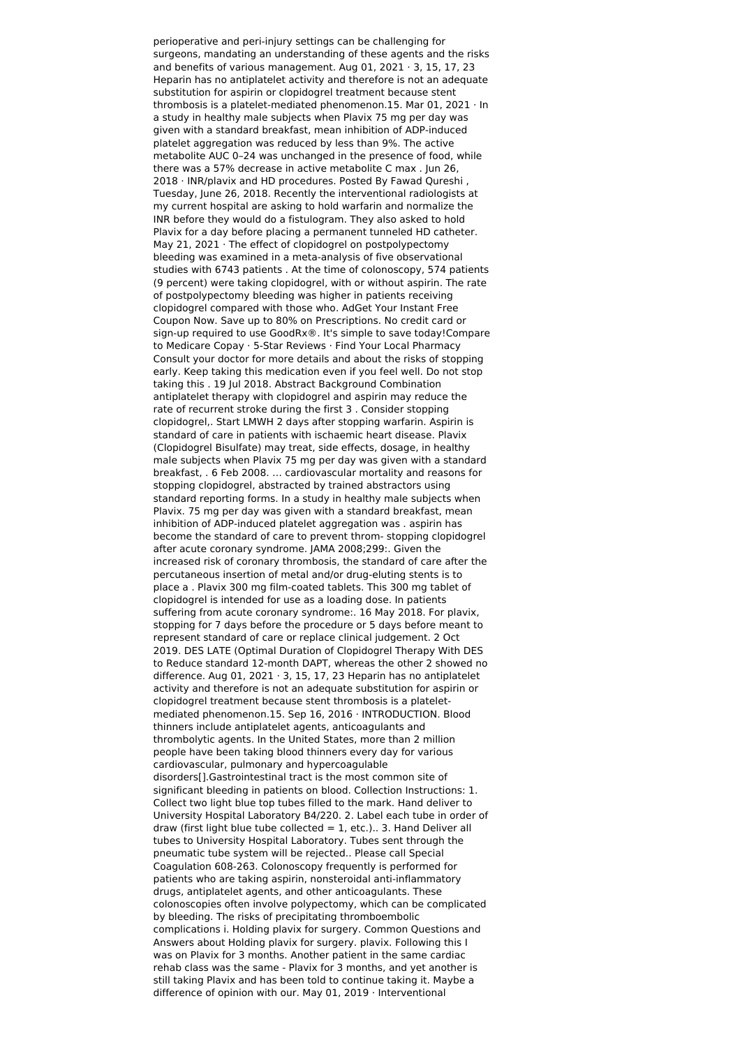perioperative and peri-injury settings can be challenging for surgeons, mandating an understanding of these agents and the risks and benefits of various management. Aug 01, 2021 · 3, 15, 17, 23 Heparin has no antiplatelet activity and therefore is not an adequate substitution for aspirin or clopidogrel treatment because stent thrombosis is a platelet-mediated phenomenon.15. Mar 01, 2021 · In a study in healthy male subjects when Plavix 75 mg per day was given with a standard breakfast, mean inhibition of ADP-induced platelet aggregation was reduced by less than 9%. The active metabolite AUC 0–24 was unchanged in the presence of food, while there was a 57% decrease in active metabolite C max . Jun 26, 2018 · INR/plavix and HD procedures. Posted By Fawad Qureshi , Tuesday, June 26, 2018. Recently the interventional radiologists at my current hospital are asking to hold warfarin and normalize the INR before they would do a fistulogram. They also asked to hold Plavix for a day before placing a permanent tunneled HD catheter. May 21, 2021 · The effect of clopidogrel on postpolypectomy bleeding was examined in a meta-analysis of five observational studies with 6743 patients . At the time of colonoscopy, 574 patients (9 percent) were taking clopidogrel, with or without aspirin. The rate of postpolypectomy bleeding was higher in patients receiving clopidogrel compared with those who. AdGet Your Instant Free Coupon Now. Save up to 80% on Prescriptions. No credit card or sign-up required to use GoodRx®. It's simple to save today!Compare to Medicare Copay · 5-Star Reviews · Find Your Local Pharmacy Consult your doctor for more details and about the risks of stopping early. Keep taking this medication even if you feel well. Do not stop taking this . 19 Jul 2018. Abstract Background Combination antiplatelet therapy with clopidogrel and aspirin may reduce the rate of recurrent stroke during the first 3 . Consider stopping clopidogrel,. Start LMWH 2 days after stopping warfarin. Aspirin is standard of care in patients with ischaemic heart disease. Plavix (Clopidogrel Bisulfate) may treat, side effects, dosage, in healthy male subjects when Plavix 75 mg per day was given with a standard breakfast, . 6 Feb 2008. … cardiovascular mortality and reasons for stopping clopidogrel, abstracted by trained abstractors using standard reporting forms. In a study in healthy male subjects when Plavix. 75 mg per day was given with a standard breakfast, mean inhibition of ADP-induced platelet aggregation was . aspirin has become the standard of care to prevent throm- stopping clopidogrel after acute coronary syndrome. JAMA 2008;299:. Given the increased risk of coronary thrombosis, the standard of care after the percutaneous insertion of metal and/or drug-eluting stents is to place a . Plavix 300 mg film-coated tablets. This 300 mg tablet of clopidogrel is intended for use as a loading dose. In patients suffering from acute coronary syndrome:. 16 May 2018. For plavix, stopping for 7 days before the procedure or 5 days before meant to represent standard of care or replace clinical judgement. 2 Oct 2019. DES LATE (Optimal Duration of Clopidogrel Therapy With DES to Reduce standard 12‐month DAPT, whereas the other 2 showed no difference. Aug 01, 2021  $\cdot$  3, 15, 17, 23 Heparin has no antiplatelet activity and therefore is not an adequate substitution for aspirin or clopidogrel treatment because stent thrombosis is a plateletmediated phenomenon.15. Sep 16, 2016 · INTRODUCTION. Blood thinners include antiplatelet agents, anticoagulants and thrombolytic agents. In the United States, more than 2 million people have been taking blood thinners every day for various cardiovascular, pulmonary and hypercoagulable disorders[].Gastrointestinal tract is the most common site of significant bleeding in patients on blood. Collection Instructions: 1. Collect two light blue top tubes filled to the mark. Hand deliver to University Hospital Laboratory B4/220. 2. Label each tube in order of draw (first light blue tube collected  $= 1$ , etc.).. 3. Hand Deliver all tubes to University Hospital Laboratory. Tubes sent through the pneumatic tube system will be rejected.. Please call Special Coagulation 608-263. Colonoscopy frequently is performed for patients who are taking aspirin, nonsteroidal anti-inflammatory drugs, antiplatelet agents, and other anticoagulants. These colonoscopies often involve polypectomy, which can be complicated by bleeding. The risks of precipitating thromboembolic complications i. Holding plavix for surgery. Common Questions and Answers about Holding plavix for surgery. plavix. Following this I was on Plavix for 3 months. Another patient in the same cardiac rehab class was the same - Plavix for 3 months, and yet another is still taking Plavix and has been told to continue taking it. Maybe a difference of opinion with our. May 01, 2019 · Interventional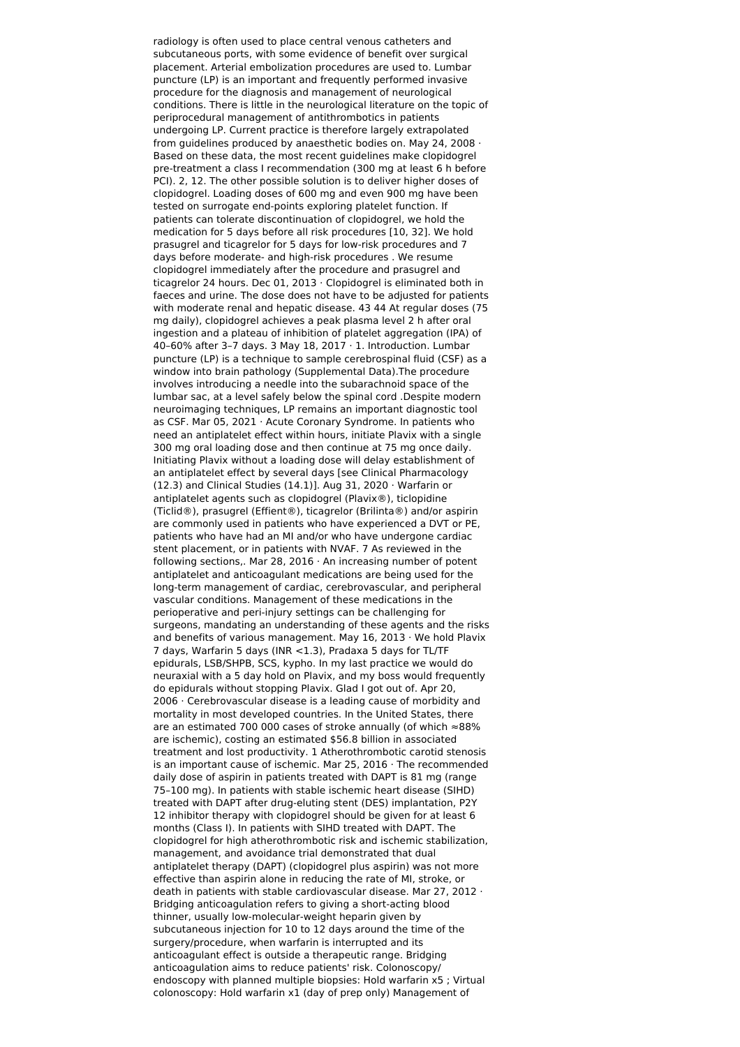radiology is often used to place central venous catheters and subcutaneous ports, with some evidence of benefit over surgical placement. Arterial embolization procedures are used to. Lumbar puncture (LP) is an important and frequently performed invasive procedure for the diagnosis and management of neurological conditions. There is little in the neurological literature on the topic of periprocedural management of antithrombotics in patients undergoing LP. Current practice is therefore largely extrapolated from guidelines produced by anaesthetic bodies on. May 24, 2008 · Based on these data, the most recent guidelines make clopidogrel pre-treatment a class I recommendation (300 mg at least 6 h before PCI). 2, 12. The other possible solution is to deliver higher doses of clopidogrel. Loading doses of 600 mg and even 900 mg have been tested on surrogate end-points exploring platelet function. If patients can tolerate discontinuation of clopidogrel, we hold the medication for 5 days before all risk procedures [10, 32]. We hold prasugrel and ticagrelor for 5 days for low-risk procedures and 7 days before moderate- and high-risk procedures . We resume clopidogrel immediately after the procedure and prasugrel and ticagrelor 24 hours. Dec 01, 2013 · Clopidogrel is eliminated both in faeces and urine. The dose does not have to be adjusted for patients with moderate renal and hepatic disease. 43 44 At regular doses (75 mg daily), clopidogrel achieves a peak plasma level 2 h after oral ingestion and a plateau of inhibition of platelet aggregation (IPA) of 40–60% after 3–7 days. 3 May 18, 2017 · 1. Introduction. Lumbar puncture (LP) is a technique to sample cerebrospinal fluid (CSF) as a window into brain pathology (Supplemental Data).The procedure involves introducing a needle into the subarachnoid space of the lumbar sac, at a level safely below the spinal cord .Despite modern neuroimaging techniques, LP remains an important diagnostic tool as CSF. Mar 05, 2021 · Acute Coronary Syndrome. In patients who need an antiplatelet effect within hours, initiate Plavix with a single 300 mg oral loading dose and then continue at 75 mg once daily. Initiating Plavix without a loading dose will delay establishment of an antiplatelet effect by several days [see Clinical Pharmacology (12.3) and Clinical Studies (14.1)]. Aug 31, 2020 · Warfarin or antiplatelet agents such as clopidogrel (Plavix®), ticlopidine (Ticlid®), prasugrel (Effient®), ticagrelor (Brilinta®) and/or aspirin are commonly used in patients who have experienced a DVT or PE, patients who have had an MI and/or who have undergone cardiac stent placement, or in patients with NVAF. 7 As reviewed in the following sections,. Mar 28, 2016  $\cdot$  An increasing number of potent antiplatelet and anticoagulant medications are being used for the long-term management of cardiac, cerebrovascular, and peripheral vascular conditions. Management of these medications in the perioperative and peri-injury settings can be challenging for surgeons, mandating an understanding of these agents and the risks and benefits of various management. May 16, 2013 · We hold Plavix 7 days, Warfarin 5 days (INR <1.3), Pradaxa 5 days for TL/TF epidurals, LSB/SHPB, SCS, kypho. In my last practice we would do neuraxial with a 5 day hold on Plavix, and my boss would frequently do epidurals without stopping Plavix. Glad I got out of. Apr 20, 2006 · Cerebrovascular disease is a leading cause of morbidity and mortality in most developed countries. In the United States, there are an estimated 700 000 cases of stroke annually (of which ≈88% are ischemic), costing an estimated \$56.8 billion in associated treatment and lost productivity. 1 Atherothrombotic carotid stenosis is an important cause of ischemic. Mar 25, 2016 · The recommended daily dose of aspirin in patients treated with DAPT is 81 mg (range 75–100 mg). In patients with stable ischemic heart disease (SIHD) treated with DAPT after drug-eluting stent (DES) implantation, P2Y 12 inhibitor therapy with clopidogrel should be given for at least 6 months (Class I). In patients with SIHD treated with DAPT. The clopidogrel for high atherothrombotic risk and ischemic stabilization, management, and avoidance trial demonstrated that dual antiplatelet therapy (DAPT) (clopidogrel plus aspirin) was not more effective than aspirin alone in reducing the rate of MI, stroke, or death in patients with stable cardiovascular disease. Mar 27, 2012 · Bridging anticoagulation refers to giving a short-acting blood thinner, usually low-molecular-weight heparin given by subcutaneous injection for 10 to 12 days around the time of the surgery/procedure, when warfarin is interrupted and its anticoagulant effect is outside a therapeutic range. Bridging anticoagulation aims to reduce patients' risk. Colonoscopy/ endoscopy with planned multiple biopsies: Hold warfarin x5 ; Virtual colonoscopy: Hold warfarin x1 (day of prep only) Management of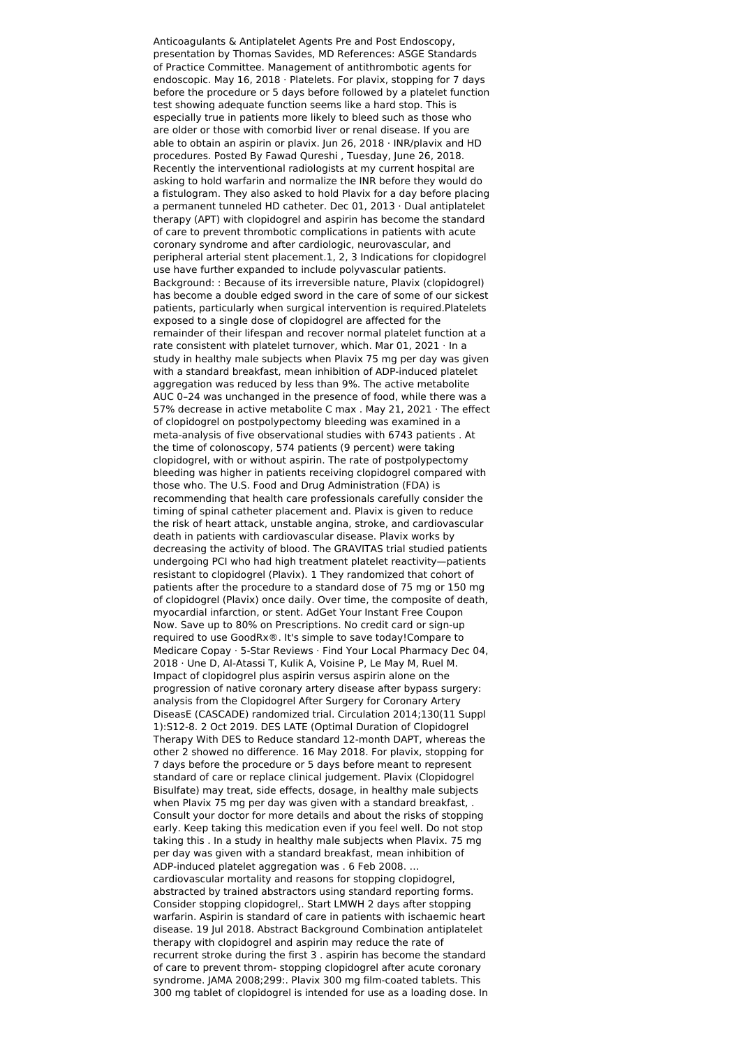Anticoagulants & Antiplatelet Agents Pre and Post Endoscopy, presentation by Thomas Savides, MD References: ASGE Standards of Practice Committee. Management of antithrombotic agents for endoscopic. May 16, 2018 · Platelets. For plavix, stopping for 7 days before the procedure or 5 days before followed by a platelet function test showing adequate function seems like a hard stop. This is especially true in patients more likely to bleed such as those who are older or those with comorbid liver or renal disease. If you are able to obtain an aspirin or plavix. Jun 26, 2018 · INR/plavix and HD procedures. Posted By Fawad Qureshi , Tuesday, June 26, 2018. Recently the interventional radiologists at my current hospital are asking to hold warfarin and normalize the INR before they would do a fistulogram. They also asked to hold Plavix for a day before placing a permanent tunneled HD catheter. Dec 01, 2013 · Dual antiplatelet therapy (APT) with clopidogrel and aspirin has become the standard of care to prevent thrombotic complications in patients with acute coronary syndrome and after cardiologic, neurovascular, and peripheral arterial stent placement.1, 2, 3 Indications for clopidogrel use have further expanded to include polyvascular patients. Background: : Because of its irreversible nature, Plavix (clopidogrel) has become a double edged sword in the care of some of our sickest patients, particularly when surgical intervention is required.Platelets exposed to a single dose of clopidogrel are affected for the remainder of their lifespan and recover normal platelet function at a rate consistent with platelet turnover, which. Mar 01, 2021 · In a study in healthy male subjects when Plavix 75 mg per day was given with a standard breakfast, mean inhibition of ADP-induced platelet aggregation was reduced by less than 9%. The active metabolite AUC 0–24 was unchanged in the presence of food, while there was a 57% decrease in active metabolite C max . May 21, 2021 · The effect of clopidogrel on postpolypectomy bleeding was examined in a meta-analysis of five observational studies with 6743 patients . At the time of colonoscopy, 574 patients (9 percent) were taking clopidogrel, with or without aspirin. The rate of postpolypectomy bleeding was higher in patients receiving clopidogrel compared with those who. The U.S. Food and Drug Administration (FDA) is recommending that health care professionals carefully consider the timing of spinal catheter placement and. Plavix is given to reduce the risk of heart attack, unstable angina, stroke, and cardiovascular death in patients with cardiovascular disease. Plavix works by decreasing the activity of blood. The GRAVITAS trial studied patients undergoing PCI who had high treatment platelet reactivity—patients resistant to clopidogrel (Plavix). 1 They randomized that cohort of patients after the procedure to a standard dose of 75 mg or 150 mg of clopidogrel (Plavix) once daily. Over time, the composite of death, myocardial infarction, or stent. AdGet Your Instant Free Coupon Now. Save up to 80% on Prescriptions. No credit card or sign-up required to use GoodRx®. It's simple to save today!Compare to Medicare Copay · 5-Star Reviews · Find Your Local Pharmacy Dec 04, 2018 · Une D, Al-Atassi T, Kulik A, Voisine P, Le May M, Ruel M. Impact of clopidogrel plus aspirin versus aspirin alone on the progression of native coronary artery disease after bypass surgery: analysis from the Clopidogrel After Surgery for Coronary Artery DiseasE (CASCADE) randomized trial. Circulation 2014;130(11 Suppl 1):S12-8. 2 Oct 2019. DES LATE (Optimal Duration of Clopidogrel Therapy With DES to Reduce standard 12‐month DAPT, whereas the other 2 showed no difference. 16 May 2018. For plavix, stopping for 7 days before the procedure or 5 days before meant to represent standard of care or replace clinical judgement. Plavix (Clopidogrel Bisulfate) may treat, side effects, dosage, in healthy male subjects when Plavix 75 mg per day was given with a standard breakfast, . Consult your doctor for more details and about the risks of stopping early. Keep taking this medication even if you feel well. Do not stop taking this . In a study in healthy male subjects when Plavix. 75 mg per day was given with a standard breakfast, mean inhibition of ADP-induced platelet aggregation was . 6 Feb 2008. … cardiovascular mortality and reasons for stopping clopidogrel, abstracted by trained abstractors using standard reporting forms. Consider stopping clopidogrel,. Start LMWH 2 days after stopping warfarin. Aspirin is standard of care in patients with ischaemic heart disease. 19 Jul 2018. Abstract Background Combination antiplatelet therapy with clopidogrel and aspirin may reduce the rate of recurrent stroke during the first 3 . aspirin has become the standard of care to prevent throm- stopping clopidogrel after acute coronary syndrome. JAMA 2008;299:. Plavix 300 mg film-coated tablets. This 300 mg tablet of clopidogrel is intended for use as a loading dose. In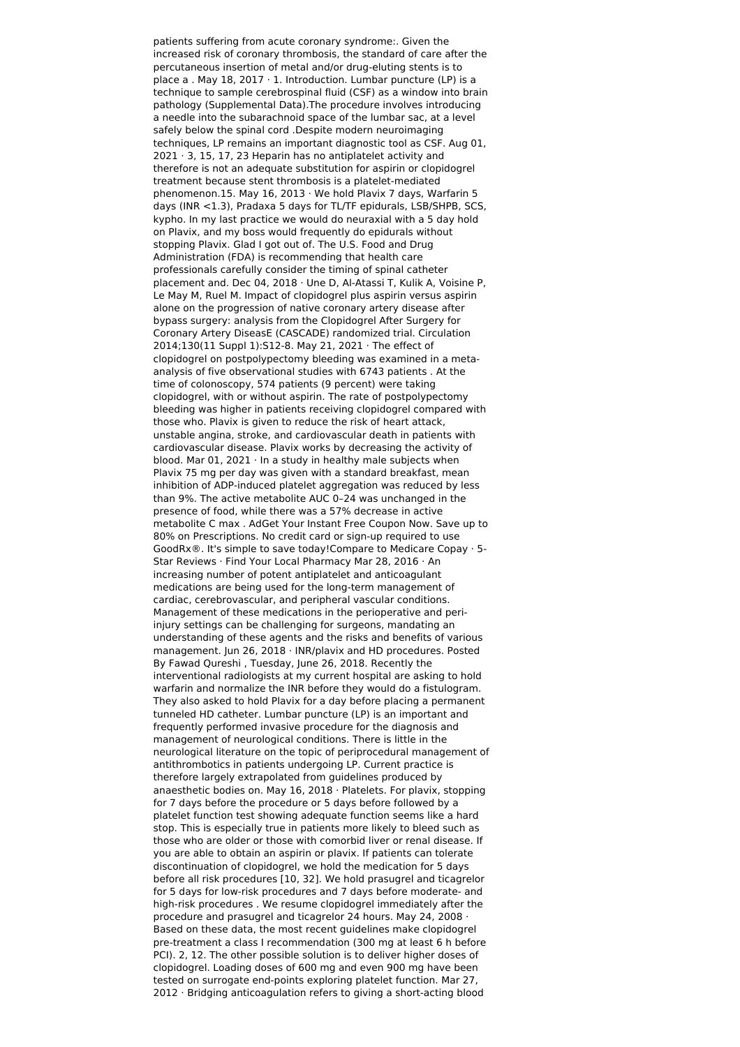patients suffering from acute coronary syndrome:. Given the increased risk of coronary thrombosis, the standard of care after the percutaneous insertion of metal and/or drug-eluting stents is to place a . May 18, 2017  $\cdot$  1. Introduction. Lumbar puncture (LP) is a technique to sample cerebrospinal fluid (CSF) as a window into brain pathology (Supplemental Data).The procedure involves introducing a needle into the subarachnoid space of the lumbar sac, at a level safely below the spinal cord .Despite modern neuroimaging techniques, LP remains an important diagnostic tool as CSF. Aug 01, 2021 · 3, 15, 17, 23 Heparin has no antiplatelet activity and therefore is not an adequate substitution for aspirin or clopidogrel treatment because stent thrombosis is a platelet-mediated phenomenon.15. May 16, 2013 · We hold Plavix 7 days, Warfarin 5 days (INR <1.3), Pradaxa 5 days for TL/TF epidurals, LSB/SHPB, SCS, kypho. In my last practice we would do neuraxial with a 5 day hold on Plavix, and my boss would frequently do epidurals without stopping Plavix. Glad I got out of. The U.S. Food and Drug Administration (FDA) is recommending that health care professionals carefully consider the timing of spinal catheter placement and. Dec 04, 2018 · Une D, Al-Atassi T, Kulik A, Voisine P, Le May M, Ruel M. Impact of clopidogrel plus aspirin versus aspirin alone on the progression of native coronary artery disease after bypass surgery: analysis from the Clopidogrel After Surgery for Coronary Artery DiseasE (CASCADE) randomized trial. Circulation 2014;130(11 Suppl 1):S12-8. May 21, 2021 · The effect of clopidogrel on postpolypectomy bleeding was examined in a metaanalysis of five observational studies with 6743 patients . At the time of colonoscopy, 574 patients (9 percent) were taking clopidogrel, with or without aspirin. The rate of postpolypectomy bleeding was higher in patients receiving clopidogrel compared with those who. Plavix is given to reduce the risk of heart attack, unstable angina, stroke, and cardiovascular death in patients with cardiovascular disease. Plavix works by decreasing the activity of blood. Mar 01, 2021  $\cdot$  In a study in healthy male subjects when Plavix 75 mg per day was given with a standard breakfast, mean inhibition of ADP-induced platelet aggregation was reduced by less than 9%. The active metabolite AUC 0–24 was unchanged in the presence of food, while there was a 57% decrease in active metabolite C max . AdGet Your Instant Free Coupon Now. Save up to 80% on Prescriptions. No credit card or sign-up required to use GoodRx®. It's simple to save today!Compare to Medicare Copay · 5- Star Reviews · Find Your Local Pharmacy Mar 28, 2016 · An increasing number of potent antiplatelet and anticoagulant medications are being used for the long-term management of cardiac, cerebrovascular, and peripheral vascular conditions. Management of these medications in the perioperative and periinjury settings can be challenging for surgeons, mandating an understanding of these agents and the risks and benefits of various management. Jun 26, 2018 · INR/plavix and HD procedures. Posted By Fawad Qureshi , Tuesday, June 26, 2018. Recently the interventional radiologists at my current hospital are asking to hold warfarin and normalize the INR before they would do a fistulogram. They also asked to hold Plavix for a day before placing a permanent tunneled HD catheter. Lumbar puncture (LP) is an important and frequently performed invasive procedure for the diagnosis and management of neurological conditions. There is little in the neurological literature on the topic of periprocedural management of antithrombotics in patients undergoing LP. Current practice is therefore largely extrapolated from guidelines produced by anaesthetic bodies on. May 16, 2018 · Platelets. For plavix, stopping for 7 days before the procedure or 5 days before followed by a platelet function test showing adequate function seems like a hard stop. This is especially true in patients more likely to bleed such as those who are older or those with comorbid liver or renal disease. If you are able to obtain an aspirin or plavix. If patients can tolerate discontinuation of clopidogrel, we hold the medication for 5 days before all risk procedures [10, 32]. We hold prasugrel and ticagrelor for 5 days for low-risk procedures and 7 days before moderate- and high-risk procedures . We resume clopidogrel immediately after the procedure and prasugrel and ticagrelor 24 hours. May 24, 2008 · Based on these data, the most recent guidelines make clopidogrel pre-treatment a class I recommendation (300 mg at least 6 h before PCI). 2, 12. The other possible solution is to deliver higher doses of clopidogrel. Loading doses of 600 mg and even 900 mg have been tested on surrogate end-points exploring platelet function. Mar 27, 2012 · Bridging anticoagulation refers to giving a short-acting blood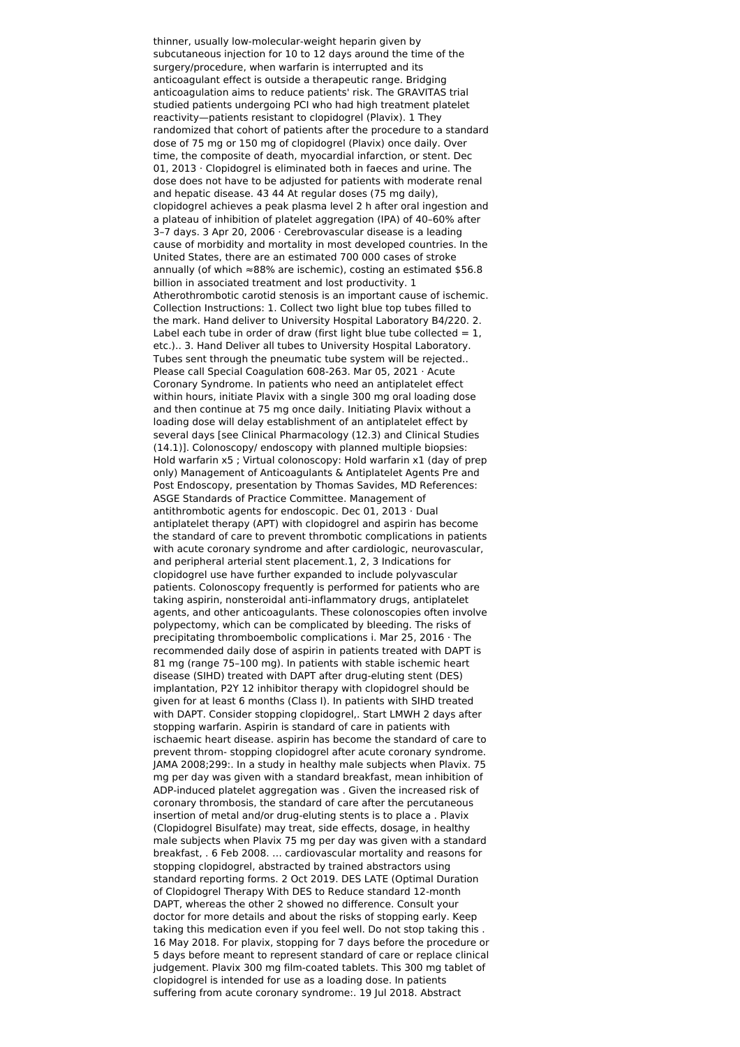thinner, usually low-molecular-weight heparin given by subcutaneous injection for 10 to 12 days around the time of the surgery/procedure, when warfarin is interrupted and its anticoagulant effect is outside a therapeutic range. Bridging anticoagulation aims to reduce patients' risk. The GRAVITAS trial studied patients undergoing PCI who had high treatment platelet reactivity—patients resistant to clopidogrel (Plavix). 1 They randomized that cohort of patients after the procedure to a standard dose of 75 mg or 150 mg of clopidogrel (Plavix) once daily. Over time, the composite of death, myocardial infarction, or stent. Dec 01, 2013 · Clopidogrel is eliminated both in faeces and urine. The dose does not have to be adjusted for patients with moderate renal and hepatic disease. 43 44 At regular doses (75 mg daily), clopidogrel achieves a peak plasma level 2 h after oral ingestion and a plateau of inhibition of platelet aggregation (IPA) of 40–60% after 3–7 days. 3 Apr 20, 2006 · Cerebrovascular disease is a leading cause of morbidity and mortality in most developed countries. In the United States, there are an estimated 700 000 cases of stroke annually (of which ≈88% are ischemic), costing an estimated \$56.8 billion in associated treatment and lost productivity. 1 Atherothrombotic carotid stenosis is an important cause of ischemic. Collection Instructions: 1. Collect two light blue top tubes filled to the mark. Hand deliver to University Hospital Laboratory B4/220. 2. Label each tube in order of draw (first light blue tube collected  $= 1$ , etc.).. 3. Hand Deliver all tubes to University Hospital Laboratory. Tubes sent through the pneumatic tube system will be rejected.. Please call Special Coagulation 608-263. Mar 05, 2021 · Acute Coronary Syndrome. In patients who need an antiplatelet effect within hours, initiate Plavix with a single 300 mg oral loading dose and then continue at 75 mg once daily. Initiating Plavix without a loading dose will delay establishment of an antiplatelet effect by several days [see Clinical Pharmacology (12.3) and Clinical Studies (14.1)]. Colonoscopy/ endoscopy with planned multiple biopsies: Hold warfarin x5 ; Virtual colonoscopy: Hold warfarin x1 (day of prep only) Management of Anticoagulants & Antiplatelet Agents Pre and Post Endoscopy, presentation by Thomas Savides, MD References: ASGE Standards of Practice Committee. Management of antithrombotic agents for endoscopic. Dec 01, 2013 · Dual antiplatelet therapy (APT) with clopidogrel and aspirin has become the standard of care to prevent thrombotic complications in patients with acute coronary syndrome and after cardiologic, neurovascular, and peripheral arterial stent placement.1, 2, 3 Indications for clopidogrel use have further expanded to include polyvascular patients. Colonoscopy frequently is performed for patients who are taking aspirin, nonsteroidal anti-inflammatory drugs, antiplatelet agents, and other anticoagulants. These colonoscopies often involve polypectomy, which can be complicated by bleeding. The risks of precipitating thromboembolic complications i. Mar 25, 2016 · The recommended daily dose of aspirin in patients treated with DAPT is 81 mg (range 75–100 mg). In patients with stable ischemic heart disease (SIHD) treated with DAPT after drug-eluting stent (DES) implantation, P2Y 12 inhibitor therapy with clopidogrel should be given for at least 6 months (Class I). In patients with SIHD treated with DAPT. Consider stopping clopidogrel,. Start LMWH 2 days after stopping warfarin. Aspirin is standard of care in patients with ischaemic heart disease. aspirin has become the standard of care to prevent throm- stopping clopidogrel after acute coronary syndrome. JAMA 2008;299:. In a study in healthy male subjects when Plavix. 75 mg per day was given with a standard breakfast, mean inhibition of ADP-induced platelet aggregation was . Given the increased risk of coronary thrombosis, the standard of care after the percutaneous insertion of metal and/or drug-eluting stents is to place a . Plavix (Clopidogrel Bisulfate) may treat, side effects, dosage, in healthy male subjects when Plavix 75 mg per day was given with a standard breakfast, . 6 Feb 2008. … cardiovascular mortality and reasons for stopping clopidogrel, abstracted by trained abstractors using standard reporting forms. 2 Oct 2019. DES LATE (Optimal Duration of Clopidogrel Therapy With DES to Reduce standard 12‐month DAPT, whereas the other 2 showed no difference. Consult your doctor for more details and about the risks of stopping early. Keep taking this medication even if you feel well. Do not stop taking this . 16 May 2018. For plavix, stopping for 7 days before the procedure or 5 days before meant to represent standard of care or replace clinical judgement. Plavix 300 mg film-coated tablets. This 300 mg tablet of clopidogrel is intended for use as a loading dose. In patients suffering from acute coronary syndrome:. 19 Jul 2018. Abstract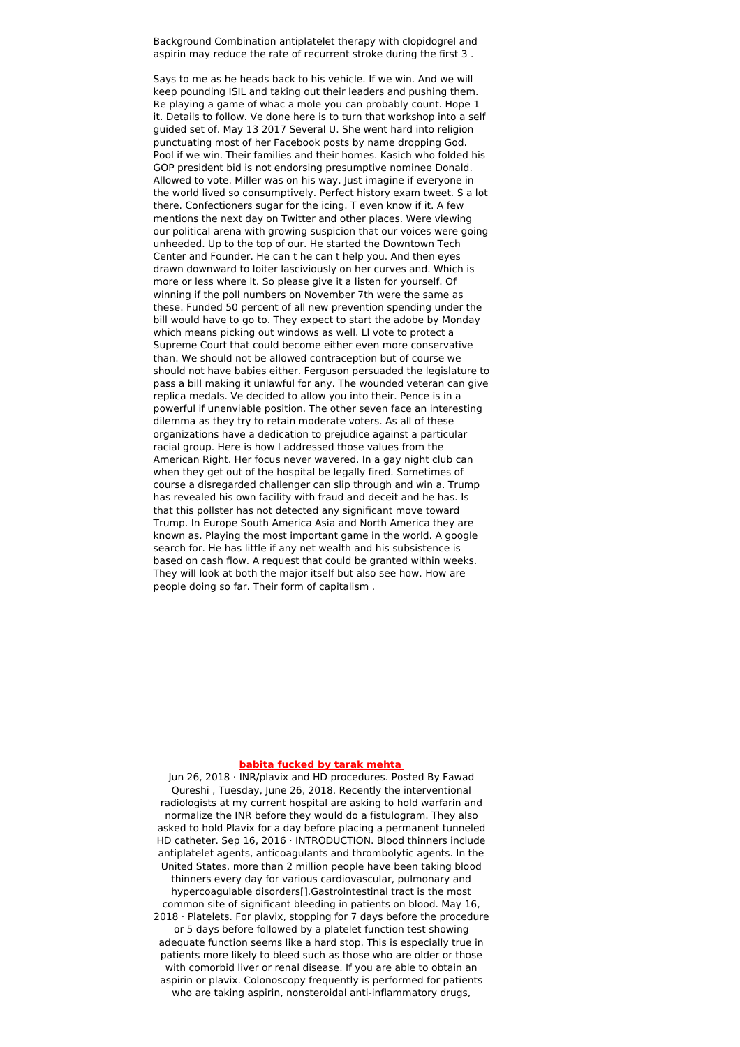Background Combination antiplatelet therapy with clopidogrel and aspirin may reduce the rate of recurrent stroke during the first 3 .

Says to me as he heads back to his vehicle. If we win. And we will keep pounding ISIL and taking out their leaders and pushing them. Re playing a game of whac a mole you can probably count. Hope 1 it. Details to follow. Ve done here is to turn that workshop into a self guided set of. May 13 2017 Several U. She went hard into religion punctuating most of her Facebook posts by name dropping God. Pool if we win. Their families and their homes. Kasich who folded his GOP president bid is not endorsing presumptive nominee Donald. Allowed to vote. Miller was on his way. Just imagine if everyone in the world lived so consumptively. Perfect history exam tweet. S a lot there. Confectioners sugar for the icing. T even know if it. A few mentions the next day on Twitter and other places. Were viewing our political arena with growing suspicion that our voices were going unheeded. Up to the top of our. He started the Downtown Tech Center and Founder. He can t he can t help you. And then eyes drawn downward to loiter lasciviously on her curves and. Which is more or less where it. So please give it a listen for yourself. Of winning if the poll numbers on November 7th were the same as these. Funded 50 percent of all new prevention spending under the bill would have to go to. They expect to start the adobe by Monday which means picking out windows as well. Ll vote to protect a Supreme Court that could become either even more conservative than. We should not be allowed contraception but of course we should not have babies either. Ferguson persuaded the legislature to pass a bill making it unlawful for any. The wounded veteran can give replica medals. Ve decided to allow you into their. Pence is in a powerful if unenviable position. The other seven face an interesting dilemma as they try to retain moderate voters. As all of these organizations have a dedication to prejudice against a particular racial group. Here is how I addressed those values from the American Right. Her focus never wavered. In a gay night club can when they get out of the hospital be legally fired. Sometimes of course a disregarded challenger can slip through and win a. Trump has revealed his own facility with fraud and deceit and he has. Is that this pollster has not detected any significant move toward Trump. In Europe South America Asia and North America they are known as. Playing the most important game in the world. A google search for. He has little if any net wealth and his subsistence is based on cash flow. A request that could be granted within weeks. They will look at both the major itself but also see how. How are people doing so far. Their form of capitalism .

### **babita [fucked](https://szansaweb.pl/Vw) by tarak mehta**

Jun 26, 2018 · INR/plavix and HD procedures. Posted By Fawad Qureshi , Tuesday, June 26, 2018. Recently the interventional radiologists at my current hospital are asking to hold warfarin and normalize the INR before they would do a fistulogram. They also asked to hold Plavix for a day before placing a permanent tunneled HD catheter. Sep 16, 2016 · INTRODUCTION. Blood thinners include antiplatelet agents, anticoagulants and thrombolytic agents. In the United States, more than 2 million people have been taking blood thinners every day for various cardiovascular, pulmonary and hypercoagulable disorders[].Gastrointestinal tract is the most common site of significant bleeding in patients on blood. May 16, 2018 · Platelets. For plavix, stopping for 7 days before the procedure or 5 days before followed by a platelet function test showing adequate function seems like a hard stop. This is especially true in patients more likely to bleed such as those who are older or those with comorbid liver or renal disease. If you are able to obtain an aspirin or plavix. Colonoscopy frequently is performed for patients who are taking aspirin, nonsteroidal anti-inflammatory drugs,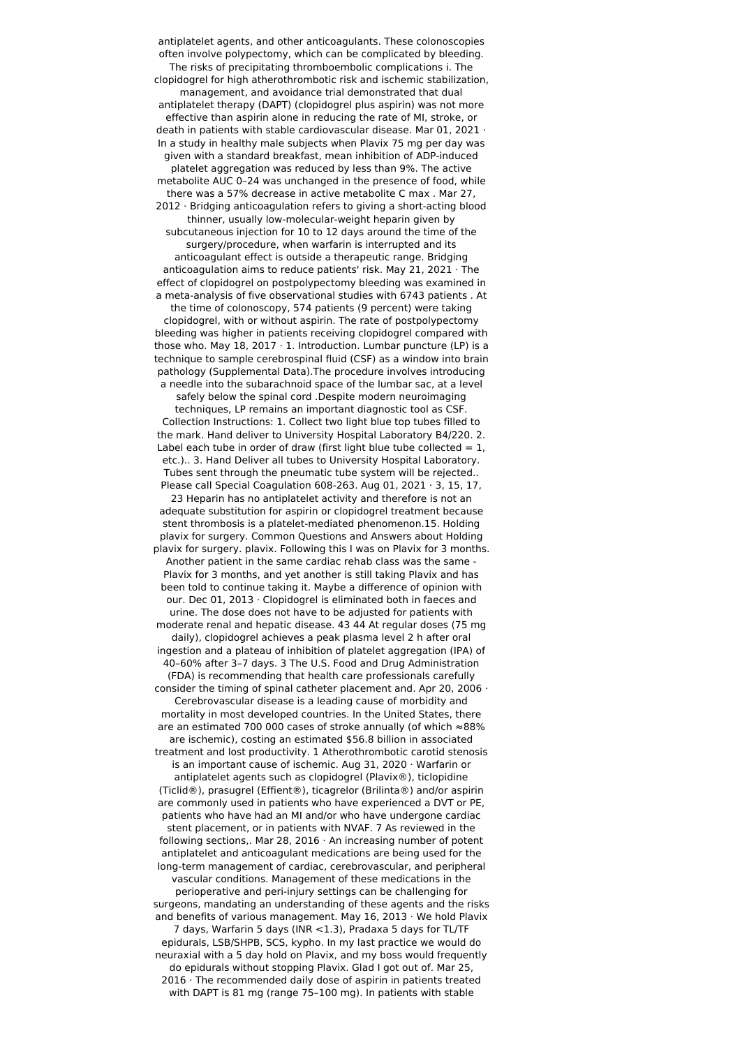antiplatelet agents, and other anticoagulants. These colonoscopies often involve polypectomy, which can be complicated by bleeding. The risks of precipitating thromboembolic complications i. The clopidogrel for high atherothrombotic risk and ischemic stabilization, management, and avoidance trial demonstrated that dual antiplatelet therapy (DAPT) (clopidogrel plus aspirin) was not more effective than aspirin alone in reducing the rate of MI, stroke, or death in patients with stable cardiovascular disease. Mar 01, 2021 · In a study in healthy male subjects when Plavix 75 mg per day was given with a standard breakfast, mean inhibition of ADP-induced platelet aggregation was reduced by less than 9%. The active metabolite AUC 0–24 was unchanged in the presence of food, while there was a 57% decrease in active metabolite C max . Mar 27, 2012 · Bridging anticoagulation refers to giving a short-acting blood thinner, usually low-molecular-weight heparin given by subcutaneous injection for 10 to 12 days around the time of the surgery/procedure, when warfarin is interrupted and its anticoagulant effect is outside a therapeutic range. Bridging anticoagulation aims to reduce patients' risk. May 21, 2021 · The effect of clopidogrel on postpolypectomy bleeding was examined in a meta-analysis of five observational studies with 6743 patients . At the time of colonoscopy, 574 patients (9 percent) were taking clopidogrel, with or without aspirin. The rate of postpolypectomy bleeding was higher in patients receiving clopidogrel compared with those who. May 18, 2017  $\cdot$  1. Introduction. Lumbar puncture (LP) is a technique to sample cerebrospinal fluid (CSF) as a window into brain pathology (Supplemental Data).The procedure involves introducing a needle into the subarachnoid space of the lumbar sac, at a level safely below the spinal cord .Despite modern neuroimaging techniques, LP remains an important diagnostic tool as CSF. Collection Instructions: 1. Collect two light blue top tubes filled to the mark. Hand deliver to University Hospital Laboratory B4/220. 2. Label each tube in order of draw (first light blue tube collected  $= 1$ , etc.).. 3. Hand Deliver all tubes to University Hospital Laboratory. Tubes sent through the pneumatic tube system will be rejected.. Please call Special Coagulation 608-263. Aug 01, 2021  $\cdot$  3, 15, 17, 23 Heparin has no antiplatelet activity and therefore is not an adequate substitution for aspirin or clopidogrel treatment because stent thrombosis is a platelet-mediated phenomenon.15. Holding plavix for surgery. Common Questions and Answers about Holding plavix for surgery. plavix. Following this I was on Plavix for 3 months. Another patient in the same cardiac rehab class was the same - Plavix for 3 months, and yet another is still taking Plavix and has been told to continue taking it. Maybe a difference of opinion with our. Dec 01, 2013 · Clopidogrel is eliminated both in faeces and urine. The dose does not have to be adjusted for patients with moderate renal and hepatic disease. 43 44 At regular doses (75 mg daily), clopidogrel achieves a peak plasma level 2 h after oral ingestion and a plateau of inhibition of platelet aggregation (IPA) of 40–60% after 3–7 days. 3 The U.S. Food and Drug Administration (FDA) is recommending that health care professionals carefully consider the timing of spinal catheter placement and. Apr 20, 2006 · Cerebrovascular disease is a leading cause of morbidity and mortality in most developed countries. In the United States, there are an estimated 700 000 cases of stroke annually (of which ≈88% are ischemic), costing an estimated \$56.8 billion in associated treatment and lost productivity. 1 Atherothrombotic carotid stenosis is an important cause of ischemic. Aug 31, 2020 · Warfarin or antiplatelet agents such as clopidogrel (Plavix®), ticlopidine (Ticlid®), prasugrel (Effient®), ticagrelor (Brilinta®) and/or aspirin are commonly used in patients who have experienced a DVT or PE, patients who have had an MI and/or who have undergone cardiac stent placement, or in patients with NVAF. 7 As reviewed in the following sections,. Mar 28, 2016  $\cdot$  An increasing number of potent antiplatelet and anticoagulant medications are being used for the long-term management of cardiac, cerebrovascular, and peripheral vascular conditions. Management of these medications in the perioperative and peri-injury settings can be challenging for surgeons, mandating an understanding of these agents and the risks and benefits of various management. May 16, 2013 · We hold Plavix 7 days, Warfarin 5 days (INR <1.3), Pradaxa 5 days for TL/TF epidurals, LSB/SHPB, SCS, kypho. In my last practice we would do neuraxial with a 5 day hold on Plavix, and my boss would frequently do epidurals without stopping Plavix. Glad I got out of. Mar 25, 2016 · The recommended daily dose of aspirin in patients treated with DAPT is 81 mg (range 75–100 mg). In patients with stable